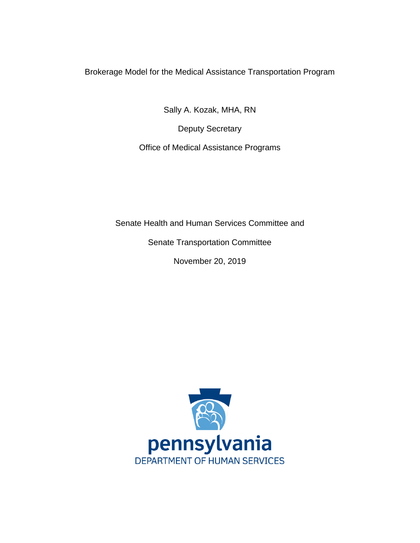Brokerage Model for the Medical Assistance Transportation Program

Sally A. Kozak, MHA, RN

Deputy Secretary

Office of Medical Assistance Programs

Senate Health and Human Services Committee and

Senate Transportation Committee

November 20, 2019

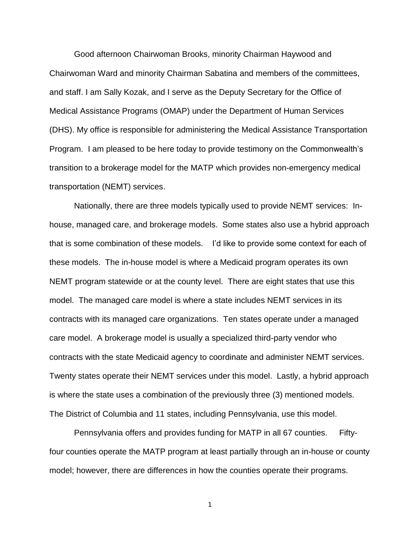Good afternoon Chairwoman Brooks, minority Chairman Haywood and Chairwoman Ward and minority Chairman Sabatina and members of the committees, and staff. I am Sally Kozak, and I serve as the Deputy Secretary for the Office of Medical Assistance Programs (OMAP) under the Department of Human Services (DHS). My office is responsible for administering the Medical Assistance Transportation Program. I am pleased to be here today to provide testimony on the Commonwealth's transition to a brokerage model for the MATP which provides non-emergency medical transportation (NEMT) services.

Nationally, there are three models typically used to provide NEMT services: Inhouse, managed care, and brokerage models. Some states also use a hybrid approach that is some combination of these models. I'd like to provide some context for each of these models. The in-house model is where a Medicaid program operates its own NEMT program statewide or at the county level. There are eight states that use this model. The managed care model is where a state includes NEMT services in its contracts with its managed care organizations. Ten states operate under a managed care model. A brokerage model is usually a specialized third-party vendor who contracts with the state Medicaid agency to coordinate and administer NEMT services. Twenty states operate their NEMT services under this model. Lastly, a hybrid approach is where the state uses a combination of the previously three (3) mentioned models. The District of Columbia and 11 states, including Pennsylvania, use this model.

Pennsylvania offers and provides funding for MATP in all 67 counties. Fiftyfour counties operate the MATP program at least partially through an in-house or county model; however, there are differences in how the counties operate their programs.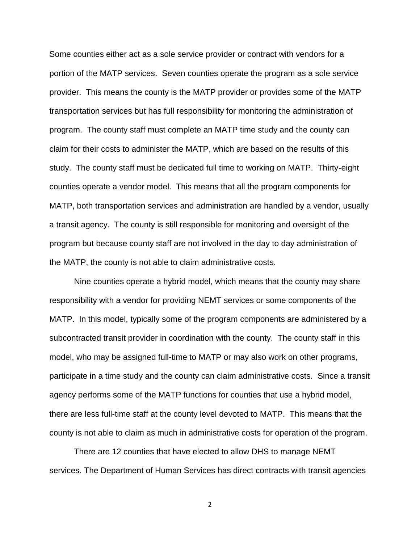Some counties either act as a sole service provider or contract with vendors for a portion of the MATP services. Seven counties operate the program as a sole service provider. This means the county is the MATP provider or provides some of the MATP transportation services but has full responsibility for monitoring the administration of program. The county staff must complete an MATP time study and the county can claim for their costs to administer the MATP, which are based on the results of this study. The county staff must be dedicated full time to working on MATP. Thirty-eight counties operate a vendor model. This means that all the program components for MATP, both transportation services and administration are handled by a vendor, usually a transit agency. The county is still responsible for monitoring and oversight of the program but because county staff are not involved in the day to day administration of the MATP, the county is not able to claim administrative costs.

Nine counties operate a hybrid model, which means that the county may share responsibility with a vendor for providing NEMT services or some components of the MATP. In this model, typically some of the program components are administered by a subcontracted transit provider in coordination with the county. The county staff in this model, who may be assigned full-time to MATP or may also work on other programs, participate in a time study and the county can claim administrative costs. Since a transit agency performs some of the MATP functions for counties that use a hybrid model, there are less full-time staff at the county level devoted to MATP. This means that the county is not able to claim as much in administrative costs for operation of the program.

There are 12 counties that have elected to allow DHS to manage NEMT services. The Department of Human Services has direct contracts with transit agencies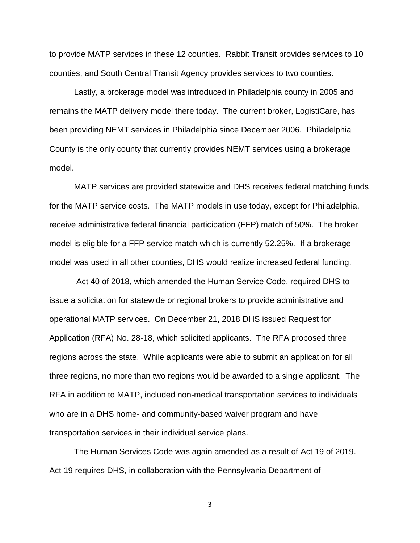to provide MATP services in these 12 counties. Rabbit Transit provides services to 10 counties, and South Central Transit Agency provides services to two counties.

Lastly, a brokerage model was introduced in Philadelphia county in 2005 and remains the MATP delivery model there today. The current broker, LogistiCare, has been providing NEMT services in Philadelphia since December 2006. Philadelphia County is the only county that currently provides NEMT services using a brokerage model.

MATP services are provided statewide and DHS receives federal matching funds for the MATP service costs. The MATP models in use today, except for Philadelphia, receive administrative federal financial participation (FFP) match of 50%. The broker model is eligible for a FFP service match which is currently 52.25%. If a brokerage model was used in all other counties, DHS would realize increased federal funding.

Act 40 of 2018, which amended the Human Service Code, required DHS to issue a solicitation for statewide or regional brokers to provide administrative and operational MATP services. On December 21, 2018 DHS issued Request for Application (RFA) No. 28-18, which solicited applicants. The RFA proposed three regions across the state. While applicants were able to submit an application for all three regions, no more than two regions would be awarded to a single applicant. The RFA in addition to MATP, included non-medical transportation services to individuals who are in a DHS home- and community-based waiver program and have transportation services in their individual service plans.

The Human Services Code was again amended as a result of Act 19 of 2019. Act 19 requires DHS, in collaboration with the Pennsylvania Department of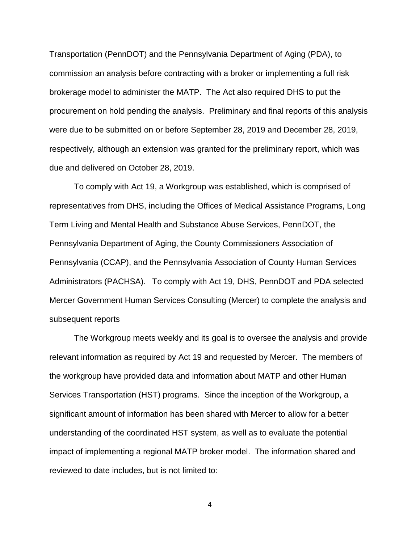Transportation (PennDOT) and the Pennsylvania Department of Aging (PDA), to commission an analysis before contracting with a broker or implementing a full risk brokerage model to administer the MATP. The Act also required DHS to put the procurement on hold pending the analysis. Preliminary and final reports of this analysis were due to be submitted on or before September 28, 2019 and December 28, 2019, respectively, although an extension was granted for the preliminary report, which was due and delivered on October 28, 2019.

To comply with Act 19, a Workgroup was established, which is comprised of representatives from DHS, including the Offices of Medical Assistance Programs, Long Term Living and Mental Health and Substance Abuse Services, PennDOT, the Pennsylvania Department of Aging, the County Commissioners Association of Pennsylvania (CCAP), and the Pennsylvania Association of County Human Services Administrators (PACHSA). To comply with Act 19, DHS, PennDOT and PDA selected Mercer Government Human Services Consulting (Mercer) to complete the analysis and subsequent reports

The Workgroup meets weekly and its goal is to oversee the analysis and provide relevant information as required by Act 19 and requested by Mercer. The members of the workgroup have provided data and information about MATP and other Human Services Transportation (HST) programs. Since the inception of the Workgroup, a significant amount of information has been shared with Mercer to allow for a better understanding of the coordinated HST system, as well as to evaluate the potential impact of implementing a regional MATP broker model. The information shared and reviewed to date includes, but is not limited to: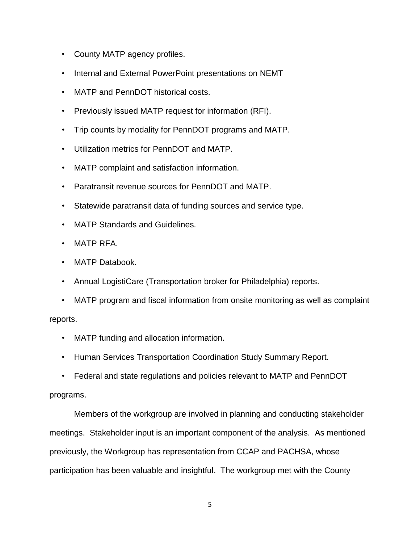- County MATP agency profiles.
- Internal and External PowerPoint presentations on NEMT
- MATP and PennDOT historical costs.
- Previously issued MATP request for information (RFI).
- Trip counts by modality for PennDOT programs and MATP.
- Utilization metrics for PennDOT and MATP.
- MATP complaint and satisfaction information.
- Paratransit revenue sources for PennDOT and MATP.
- Statewide paratransit data of funding sources and service type.
- MATP Standards and Guidelines.
- MATP RFA.
- MATP Databook.
- Annual LogistiCare (Transportation broker for Philadelphia) reports.
- MATP program and fiscal information from onsite monitoring as well as complaint

reports.

- MATP funding and allocation information.
- Human Services Transportation Coordination Study Summary Report.
- Federal and state regulations and policies relevant to MATP and PennDOT

## programs.

Members of the workgroup are involved in planning and conducting stakeholder meetings. Stakeholder input is an important component of the analysis. As mentioned previously, the Workgroup has representation from CCAP and PACHSA, whose participation has been valuable and insightful. The workgroup met with the County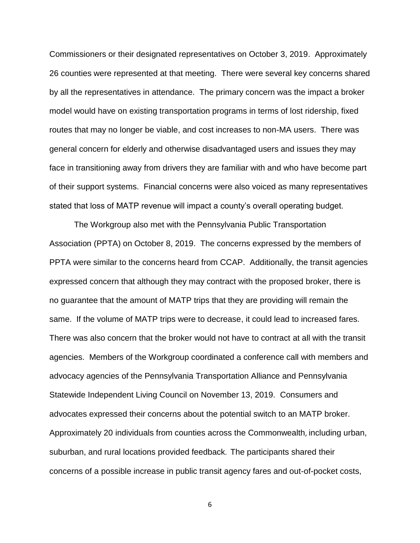Commissioners or their designated representatives on October 3, 2019. Approximately 26 counties were represented at that meeting. There were several key concerns shared by all the representatives in attendance. The primary concern was the impact a broker model would have on existing transportation programs in terms of lost ridership, fixed routes that may no longer be viable, and cost increases to non-MA users. There was general concern for elderly and otherwise disadvantaged users and issues they may face in transitioning away from drivers they are familiar with and who have become part of their support systems. Financial concerns were also voiced as many representatives stated that loss of MATP revenue will impact a county's overall operating budget.

The Workgroup also met with the Pennsylvania Public Transportation Association (PPTA) on October 8, 2019. The concerns expressed by the members of PPTA were similar to the concerns heard from CCAP. Additionally, the transit agencies expressed concern that although they may contract with the proposed broker, there is no guarantee that the amount of MATP trips that they are providing will remain the same. If the volume of MATP trips were to decrease, it could lead to increased fares. There was also concern that the broker would not have to contract at all with the transit agencies. Members of the Workgroup coordinated a conference call with members and advocacy agencies of the Pennsylvania Transportation Alliance and Pennsylvania Statewide Independent Living Council on November 13, 2019. Consumers and advocates expressed their concerns about the potential switch to an MATP broker. Approximately 20 individuals from counties across the Commonwealth, including urban, suburban, and rural locations provided feedback. The participants shared their concerns of a possible increase in public transit agency fares and out-of-pocket costs,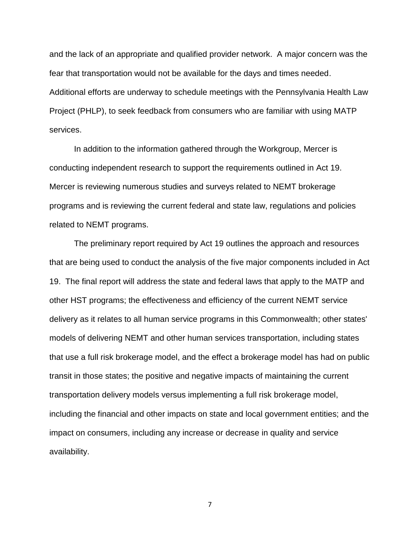and the lack of an appropriate and qualified provider network. A major concern was the fear that transportation would not be available for the days and times needed. Additional efforts are underway to schedule meetings with the Pennsylvania Health Law Project (PHLP), to seek feedback from consumers who are familiar with using MATP services.

In addition to the information gathered through the Workgroup, Mercer is conducting independent research to support the requirements outlined in Act 19. Mercer is reviewing numerous studies and surveys related to NEMT brokerage programs and is reviewing the current federal and state law, regulations and policies related to NEMT programs.

The preliminary report required by Act 19 outlines the approach and resources that are being used to conduct the analysis of the five major components included in Act 19. The final report will address the state and federal laws that apply to the MATP and other HST programs; the effectiveness and efficiency of the current NEMT service delivery as it relates to all human service programs in this Commonwealth; other states' models of delivering NEMT and other human services transportation, including states that use a full risk brokerage model, and the effect a brokerage model has had on public transit in those states; the positive and negative impacts of maintaining the current transportation delivery models versus implementing a full risk brokerage model, including the financial and other impacts on state and local government entities; and the impact on consumers, including any increase or decrease in quality and service availability.